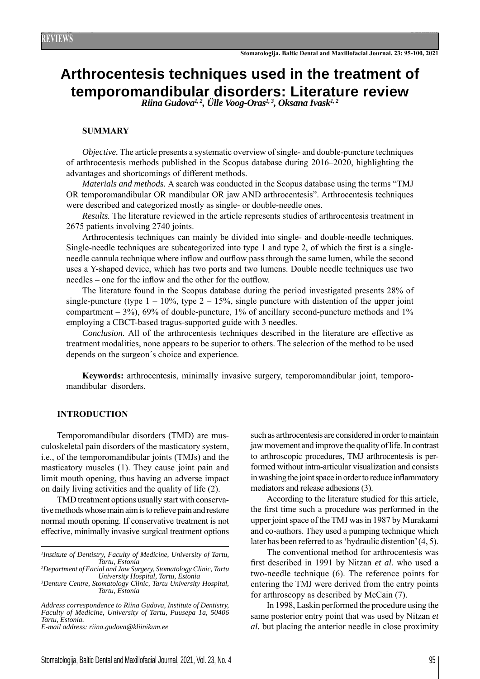# **Arthrocentesis techniques used in the treatment of temporomandibular disorders: Literature review** *Riina Gudova1, 2, Ülle Voog-Oras1, 3, Oksana Ivask1, 2*

### **SUMMARY**

*Objective.* The article presents a systematic overview of single- and double-puncture techniques of arthrocentesis methods published in the Scopus database during 2016–2020, highlighting the advantages and shortcomings of different methods.

*Materials and methods.* A search was conducted in the Scopus database using the terms "TMJ OR temporomandibular OR mandibular OR jaw AND arthrocentesis". Arthrocentesis techniques were described and categorized mostly as single- or double-needle ones.

*Results.* The literature reviewed in the article represents studies of arthrocentesis treatment in 2675 patients involving 2740 joints.

Arthrocentesis techniques can mainly be divided into single- and double-needle techniques. Single-needle techniques are subcategorized into type 1 and type 2, of which the first is a singleneedle cannula technique where inflow and outflow pass through the same lumen, while the second uses a Y-shaped device, which has two ports and two lumens. Double needle techniques use two needles – one for the inflow and the other for the outflow.

The literature found in the Scopus database during the period investigated presents 28% of single-puncture (type  $1 - 10\%$ , type  $2 - 15\%$ , single puncture with distention of the upper joint compartment –  $3\%$ , 69% of double-puncture, 1% of ancillary second-puncture methods and 1% employing a CBCT-based tragus-supported guide with 3 needles.

*Conclusion.* All of the arthrocentesis techniques described in the literature are effective as treatment modalities, none appears to be superior to others. The selection of the method to be used depends on the surgeon´s choice and experience.

**Keywords:** arthrocentesis, minimally invasive surgery, temporomandibular joint, temporomandibular disorders.

## **INTRODUCTION**

Temporomandibular disorders (TMD) are musculoskeletal pain disorders of the masticatory system, i.e., of the temporomandibular joints (TMJs) and the masticatory muscles (1). They cause joint pain and limit mouth opening, thus having an adverse impact on daily living activities and the quality of life (2).

TMD treatment options usually start with conservative methods whose main aim is to relieve pain and restore normal mouth opening. If conservative treatment is not effective, minimally invasive surgical treatment options

*1 Institute of Dentistry, Faculty of Medicine, University of Tartu, Tartu, Estonia*

*2 Department of Facial and Jaw Surgery, Stomatology Clinic, Tartu University Hospital, Tartu, Estonia*

*3 Denture Centre, Stomatology Clinic, Tartu University Hospital, Tartu, Estonia*

*Address correspondence to Riina Gudova, Institute of Dentistry, Faculty of Medicine, University of Tartu, Puusepa 1a, 50406 Tartu, Estonia.*

*E-mail address: riina.gudova@kliinikum.ee*

such as arthrocentesis are considered in order to maintain jaw movement and improve the quality of life. In contrast to arthroscopic procedures, TMJ arthrocentesis is performed without intra-articular visualization and consists in washing the joint space in order to reduce inflammatory mediators and release adhesions (3).

According to the literature studied for this article, the first time such a procedure was performed in the upper joint space of the TMJ was in 1987 by Murakami and co-authors. They used a pumping technique which later has been referred to as 'hydraulic distention' (4, 5).

The conventional method for arthrocentesis was first described in 1991 by Nitzan et al. who used a two-needle technique (6). The reference points for entering the TMJ were derived from the entry points for arthroscopy as described by McCain (7).

In 1998, Laskin performed the procedure using the same posterior entry point that was used by Nitzan *et al.* but placing the anterior needle in close proximity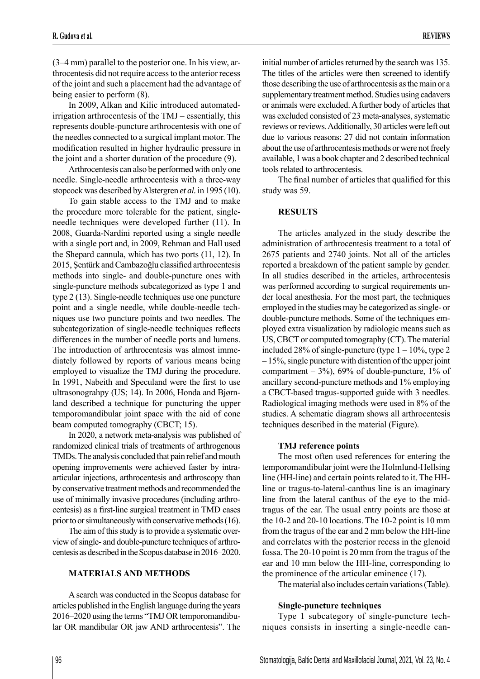(3–4 mm) parallel to the posterior one. In his view, arthrocentesis did not require access to the anterior recess of the joint and such a placement had the advantage of being easier to perform (8).

In 2009, Alkan and Kilic introduced automatedirrigation arthrocentesis of the TMJ – essentially, this represents double-puncture arthrocentesis with one of the needles connected to a surgical implant motor. The modification resulted in higher hydraulic pressure in the joint and a shorter duration of the procedure (9).

Arthrocentesis can also be performed with only one needle. Single-needle arthrocentesis with a three-way stopcock was described by Alstergren *et al.* in 1995 (10).

To gain stable access to the TMJ and to make the procedure more tolerable for the patient, singleneedle techniques were developed further (11). In 2008, Guarda-Nardini reported using a single needle with a single port and, in 2009, Rehman and Hall used the Shepard cannula, which has two ports (11, 12). In 2015, Şentürk and Cambazoğlu classified arthrocentesis methods into single- and double-puncture ones with single-puncture methods subcategorized as type 1 and type 2 (13). Single-needle techniques use one puncture point and a single needle, while double-needle techniques use two puncture points and two needles. The subcategorization of single-needle techniques reflects differences in the number of needle ports and lumens. The introduction of arthrocentesis was almost immediately followed by reports of various means being employed to visualize the TMJ during the procedure. In 1991, Nabeith and Speculand were the first to use ultrasonograhpy (US; 14). In 2006, Honda and Bjørnland described a technique for puncturing the upper temporomandibular joint space with the aid of cone beam computed tomography (CBCT; 15).

In 2020, a network meta-analysis was published of randomized clinical trials of treatments of arthrogenous TMDs. The analysis concluded that pain relief and mouth opening improvements were achieved faster by intraarticular injections, arthrocentesis and arthroscopy than by conservative treatment methods and recommended the use of minimally invasive procedures (including arthrocentesis) as a first-line surgical treatment in TMD cases prior to or simultaneously with conservative methods (16).

The aim of this study is to provide a systematic overview of single- and double-puncture techniques of arthrocentesis as described in the Scopus database in 2016–2020.

# **MATERIALS AND METHODS**

A search was conducted in the Scopus database for articles published in the English language during the years 2016–2020 using the terms "TMJ OR temporomandibular OR mandibular OR jaw AND arthrocentesis". The

initial number of articles returned by the search was 135. The titles of the articles were then screened to identify those describing the use of arthrocentesis as the main or a supplementary treatment method. Studies using cadavers or animals were excluded. A further body of articles that was excluded consisted of 23 meta-analyses, systematic reviews or reviews. Additionally, 30 articles were left out due to various reasons: 27 did not contain information about the use of arthrocentesis methods or were not freely available, 1 was a book chapter and 2 described technical tools related to arthrocentesis.

The final number of articles that qualified for this study was 59.

# **RESULTS**

The articles analyzed in the study describe the administration of arthrocentesis treatment to a total of 2675 patients and 2740 joints. Not all of the articles reported a breakdown of the patient sample by gender. In all studies described in the articles, arthrocentesis was performed according to surgical requirements under local anesthesia. For the most part, the techniques employed in the studies may be categorized as single- or double-puncture methods. Some of the techniques employed extra visualization by radiologic means such as US, CBCT or computed tomography (CT). The material included 28% of single-puncture (type  $1 - 10\%$ , type 2 – 15%, single puncture with distention of the upper joint compartment  $-3\%$ , 69% of double-puncture, 1% of ancillary second-puncture methods and 1% employing a CBCT-based tragus-supported guide with 3 needles. Radiological imaging methods were used in 8% of the studies. A schematic diagram shows all arthrocentesis techniques described in the material (Figure).

## **TMJ reference points**

The most often used references for entering the temporomandibular joint were the Holmlund-Hellsing line (HH-line) and certain points related to it. The HHline or tragus-to-lateral-canthus line is an imaginary line from the lateral canthus of the eye to the midtragus of the ear. The usual entry points are those at the 10-2 and 20-10 locations. The 10-2 point is 10 mm from the tragus of the ear and 2 mm below the HH-line and correlates with the posterior recess in the glenoid fossa. The 20-10 point is 20 mm from the tragus of the ear and 10 mm below the HH-line, corresponding to the prominence of the articular eminence (17).

The material also includes certain variations (Table).

## **Single-puncture techniques**

Type 1 subcategory of single-puncture techniques consists in inserting a single-needle can-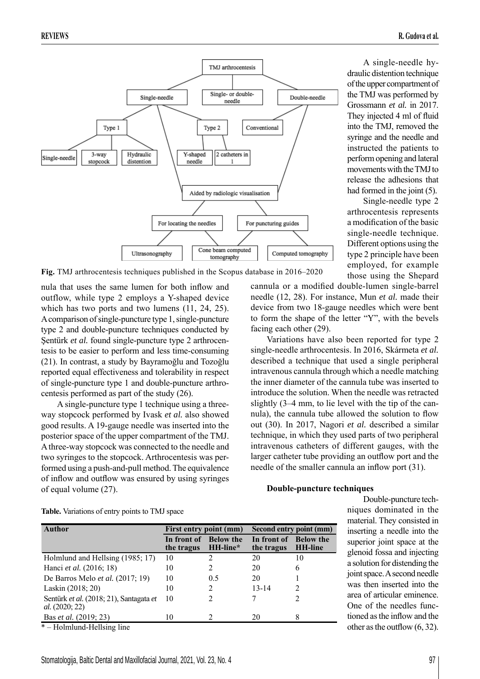

A single-needle hydraulic distention technique of the upper compartment of the TMJ was performed by Grossmann *et al.* in 2017. They injected 4 ml of fluid into the TMJ, removed the syringe and the needle and instructed the patients to perform opening and lateral movements with the TMJ to release the adhesions that had formed in the joint  $(5)$ .

Single-needle type 2 arthrocentesis represents a modification of the basic single-needle technique. Different options using the type 2 principle have been employed, for example those using the Shepard

**Fig.** TMJ arthrocentesis techniques published in the Scopus database in 2016–2020

nula that uses the same lumen for both inflow and outflow, while type 2 employs a Y-shaped device which has two ports and two lumens (11, 24, 25). A comparison of single-puncture type 1, single-puncture type 2 and double-puncture techniques conducted by Sentürk *et al.* found single-puncture type 2 arthrocentesis to be easier to perform and less time-consuming (21). In contrast, a study by Bayramoğlu and Tozoğlu reported equal effectiveness and tolerability in respect of single-puncture type 1 and double-puncture arthrocentesis performed as part of the study (26).

A single-puncture type 1 technique using a threeway stopcock performed by Ivask *et al.* also showed good results. A 19-gauge needle was inserted into the posterior space of the upper compartment of the TMJ. A three-way stopcock was connected to the needle and two syringes to the stopcock. Arthrocentesis was performed using a push-and-pull method. The equivalence of inflow and outflow was ensured by using syringes of equal volume (27).

cannula or a modified double-lumen single-barrel needle (12, 28). For instance, Mun *et al.* made their device from two 18-gauge needles which were bent to form the shape of the letter "Y", with the bevels facing each other (29).

Variations have also been reported for type 2 single-needle arthrocentesis. In 2016, Skármeta *et al.* described a technique that used a single peripheral intravenous cannula through which a needle matching the inner diameter of the cannula tube was inserted to introduce the solution. When the needle was retracted slightly (3–4 mm, to lie level with the tip of the cannula), the cannula tube allowed the solution to flow out (30). In 2017, Nagori *et al.* described a similar technique, in which they used parts of two peripheral intravenous catheters of different gauges, with the larger catheter tube providing an outflow port and the needle of the smaller cannula an inflow port  $(31)$ .

## **Double-puncture techniques**

Double-puncture techniques dominated in the material. They consisted in inserting a needle into the superior joint space at the glenoid fossa and injecting a solution for distending the joint space. A second needle was then inserted into the area of articular eminence. One of the needles functioned as the inflow and the other as the outflow  $(6, 32)$ .

| Author                                                           | First entry point (mm)    |                              | Second entry point (mm)   |                                    |
|------------------------------------------------------------------|---------------------------|------------------------------|---------------------------|------------------------------------|
|                                                                  | In front of<br>the tragus | <b>Below the</b><br>HH-line* | In front of<br>the tragus | <b>Below the</b><br><b>HH-line</b> |
| Holmlund and Hellsing (1985; 17)                                 | 10                        |                              | 20                        | 10                                 |
| Hanci et al. (2016; 18)                                          | 10                        |                              | 20                        | 6                                  |
| De Barros Melo <i>et al.</i> $(2017; 19)$                        | 10                        | 0.5                          | 20                        |                                    |
| Laskin (2018; 20)                                                | 10                        | 2                            | $13 - 14$                 | 2                                  |
| Sentürk et al. (2018; 21), Santagata et<br><i>al.</i> (2020; 22) | 10                        | 2                            |                           | 2                                  |
| Bas et al. (2019; 23)                                            | 10                        |                              | 20                        |                                    |

\* – Holmlund-Hellsing line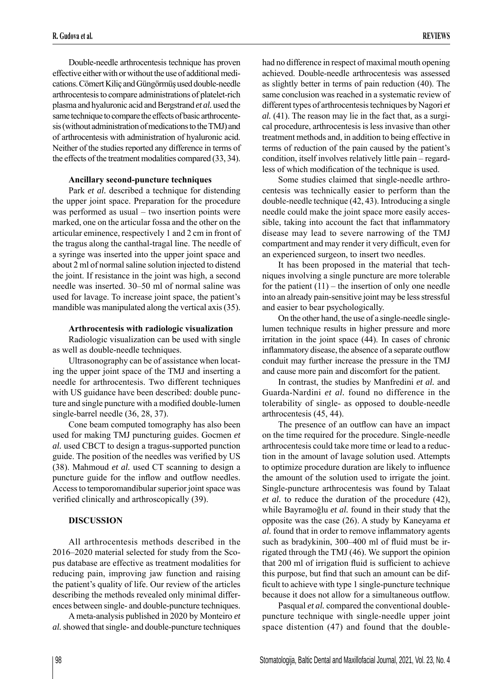Double-needle arthrocentesis technique has proven effective either with or without the use of additional medications. Cömert Kiliç and Güngörmüş used double-needle arthrocentesis to compare administrations of platelet-rich plasma and hyaluronic acid and Bergstrand *et al.* used the same technique to compare the effects of basic arthrocentesis (without administration of medications to the TMJ) and of arthrocentesis with administration of hyaluronic acid. Neither of the studies reported any difference in terms of the effects of the treatment modalities compared (33, 34).

#### **Ancillary second-puncture techniques**

Park *et al.* described a technique for distending the upper joint space. Preparation for the procedure was performed as usual – two insertion points were marked, one on the articular fossa and the other on the articular eminence, respectively 1 and 2 cm in front of the tragus along the canthal-tragal line. The needle of a syringe was inserted into the upper joint space and about 2 ml of normal saline solution injected to distend the joint. If resistance in the joint was high, a second needle was inserted. 30–50 ml of normal saline was used for lavage. To increase joint space, the patient's mandible was manipulated along the vertical axis (35).

#### **Arthrocentesis with radiologic visualization**

Radiologic visualization can be used with single as well as double-needle techniques.

Ultrasonography can be of assistance when locating the upper joint space of the TMJ and inserting a needle for arthrocentesis. Two different techniques with US guidance have been described: double puncture and single puncture with a modified double-lumen single-barrel needle (36, 28, 37).

Cone beam computed tomography has also been used for making TMJ puncturing guides. Gocmen *et al.* used CBCT to design a tragus-supported punction guide. The position of the needles was verified by US (38). Mahmoud *et al.* used CT scanning to design a puncture guide for the inflow and outflow needles. Access to temporomandibular superior joint space was verified clinically and arthroscopically (39).

#### **DISCUSSION**

All arthrocentesis methods described in the 2016–2020 material selected for study from the Scopus database are effective as treatment modalities for reducing pain, improving jaw function and raising the patient's quality of life. Our review of the articles describing the methods revealed only minimal differences between single- and double-puncture techniques.

A meta-analysis published in 2020 by Monteiro *et al.* showed that single- and double-puncture techniques

had no difference in respect of maximal mouth opening achieved. Double-needle arthrocentesis was assessed as slightly better in terms of pain reduction (40). The same conclusion was reached in a systematic review of different types of arthrocentesis techniques by Nagori *et al.* (41). The reason may lie in the fact that, as a surgical procedure, arthrocentesis is less invasive than other treatment methods and, in addition to being effective in terms of reduction of the pain caused by the patient's condition, itself involves relatively little pain – regardless of which modification of the technique is used.

Some studies claimed that single-needle arthrocentesis was technically easier to perform than the double-needle technique (42, 43). Introducing a single needle could make the joint space more easily accessible, taking into account the fact that inflammatory disease may lead to severe narrowing of the TMJ compartment and may render it very difficult, even for an experienced surgeon, to insert two needles.

It has been proposed in the material that techniques involving a single puncture are more tolerable for the patient  $(11)$  – the insertion of only one needle into an already pain-sensitive joint may be less stressful and easier to bear psychologically.

On the other hand, the use of a single-needle singlelumen technique results in higher pressure and more irritation in the joint space (44). In cases of chronic inflammatory disease, the absence of a separate outflow conduit may further increase the pressure in the TMJ and cause more pain and discomfort for the patient.

In contrast, the studies by Manfredini *et al.* and Guarda-Nardini *et al.* found no difference in the tolerability of single- as opposed to double-needle arthrocentesis (45, 44).

The presence of an outflow can have an impact on the time required for the procedure. Single-needle arthrocentesis could take more time or lead to a reduction in the amount of lavage solution used. Attempts to optimize procedure duration are likely to influence the amount of the solution used to irrigate the joint. Single-puncture arthrocentesis was found by Talaat *et al.* to reduce the duration of the procedure (42), while Bayramoğlu *et al.* found in their study that the opposite was the case (26). A study by Kaneyama *et al.* found that in order to remove inflammatory agents such as bradykinin, 300–400 ml of fluid must be irrigated through the TMJ (46). We support the opinion that 200 ml of irrigation fluid is sufficient to achieve this purpose, but find that such an amount can be difficult to achieve with type 1 single-puncture technique because it does not allow for a simultaneous outflow.

Pasqual *et al.* compared the conventional doublepuncture technique with single-needle upper joint space distention (47) and found that the double-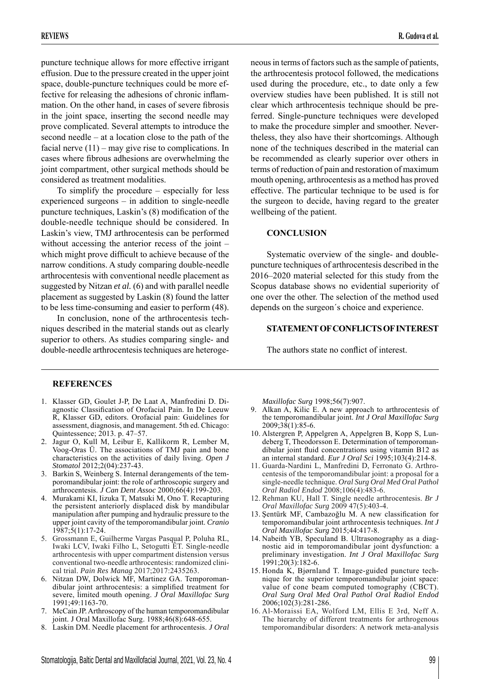puncture technique allows for more effective irrigant effusion. Due to the pressure created in the upper joint space, double-puncture techniques could be more effective for releasing the adhesions of chronic inflammation. On the other hand, in cases of severe fibrosis in the joint space, inserting the second needle may prove complicated. Several attempts to introduce the second needle – at a location close to the path of the facial nerve  $(11)$  – may give rise to complications. In cases where fibrous adhesions are overwhelming the joint compartment, other surgical methods should be considered as treatment modalities.

To simplify the procedure – especially for less experienced surgeons – in addition to single-needle puncture techniques, Laskin's  $(8)$  modification of the double-needle technique should be considered. In Laskin's view, TMJ arthrocentesis can be performed without accessing the anterior recess of the joint – which might prove difficult to achieve because of the narrow conditions. A study comparing double-needle arthrocentesis with conventional needle placement as suggested by Nitzan *et al.* (6) and with parallel needle placement as suggested by Laskin (8) found the latter to be less time-consuming and easier to perform (48).

In conclusion, none of the arthrocentesis techniques described in the material stands out as clearly superior to others. As studies comparing single- and double-needle arthrocentesis techniques are heteroge-

neous in terms of factors such as the sample of patients, the arthrocentesis protocol followed, the medications used during the procedure, etc., to date only a few overview studies have been published. It is still not clear which arthrocentesis technique should be preferred. Single-puncture techniques were developed to make the procedure simpler and smoother. Nevertheless, they also have their shortcomings. Although none of the techniques described in the material can be recommended as clearly superior over others in terms of reduction of pain and restoration of maximum mouth opening, arthrocentesis as a method has proved effective. The particular technique to be used is for the surgeon to decide, having regard to the greater wellbeing of the patient.

# **CONCLUSION**

Systematic overview of the single- and doublepuncture techniques of arthrocentesis described in the 2016–2020 material selected for this study from the Scopus database shows no evidential superiority of one over the other. The selection of the method used depends on the surgeon´s choice and experience.

## **STATEMENT OF CONFLICTS OF INTEREST**

The authors state no conflict of interest.

# **REFERENCES**

- 1. Klasser GD, Goulet J-P, De Laat A, Manfredini D. Diagnostic Classification of Orofacial Pain. In De Leeuw R, Klasser GD, editors. Orofacial pain: Guidelines for assessment, diagnosis, and management. 5th ed. Chicago: Quintessence; 2013. p. 47–57.
- 2. Jagur O, Kull M, Leibur E, Kallikorm R, Lember M, Voog-Oras Ü. The associations of TMJ pain and bone characteristics on the activities of daily living. *Open J Stomatol* 2012;2(04):237-43.
- 3. Barkin S, Weinberg S. Internal derangements of the temporomandibular joint: the role of arthroscopic surgery and arthrocentesis. *J Can Dent Assoc* 2000;66(4):199-203.
- 4. Murakami KI, Iizuka T, Matsuki M, Ono T. Recapturing the persistent anteriorly displaced disk by mandibular manipulation after pumping and hydraulic pressure to the upper joint cavity of the temporomandibular joint. *Cranio* 1987;5(1):17-24.
- 5. Grossmann E, Guilherme Vargas Pasqual P, Poluha RL, Iwaki LCV, Iwaki Filho L, Setogutti ÊT. Single-needle arthrocentesis with upper compartment distension versus conventional two-needle arthrocentesis: randomized clinical trial. *Pain Res Manag* 2017;2017:2435263.
- 6. Nitzan DW, Dolwick MF, Martinez GA. Temporomandibular joint arthrocentesis: a simplified treatment for severe, limited mouth opening. *J Oral Maxillofac Surg* 1991;49:1163-70.
- 7. McCain JP. Arthroscopy of the human temporomandibular joint. J Oral Maxillofac Surg. 1988;46(8):648-655.
- 8. Laskin DM. Needle placement for arthrocentesis. *J Oral*

*Maxillofac Surg* 1998;56(7):907.

- 9. Alkan A, Kilic E. A new approach to arthrocentesis of the temporomandibular joint. *Int J Oral Maxillofac Surg*  $2009;38(1):85-6.$
- 10. Alstergren P, Appelgren A, Appelgren B, Kopp S, Lundeberg T, Theodorsson E. Determination of temporomandibular joint fluid concentrations using vitamin B12 as an internal standard. *Eur J Oral Sci* 1995;103(4):214-8.
- 11. Guarda-Nardini L, Manfredini D, Ferronato G. Arthrocentesis of the temporomandibular joint: a proposal for a single-needle technique. *Oral Surg Oral Med Oral Pathol Oral Radiol Endod* 2008;106(4):483-6.
- 12. Rehman KU, Hall T. Single needle arthrocentesis. *Br J Oral Maxillofac Surg* 2009 47(5):403-4.
- 13. Şentürk MF, Cambazoğlu M. A new classification for temporomandibular joint arthrocentesis techniques. *Int J Oral Maxillofac Surg* 2015;44:417-8.
- 14. Nabeith YB, Speculand B. Ultrasonography as a diagnostic aid in temporomandibular joint dysfunction: a preliminary investigation. *Int J Oral Maxillofac Surg* 1991;20(3):182-6.
- 15. Honda K, Bjørnland T. Image-guided puncture technique for the superior temporomandibular joint space: value of cone beam computed tomography (CBCT). *Oral Surg Oral Med Oral Pathol Oral Radiol Endod* 2006;102(3):281-286.
- 16. Al-Moraissi EA, Wolford LM, Ellis E 3rd, Neff A. The hierarchy of different treatments for arthrogenous temporomandibular disorders: A network meta-analysis